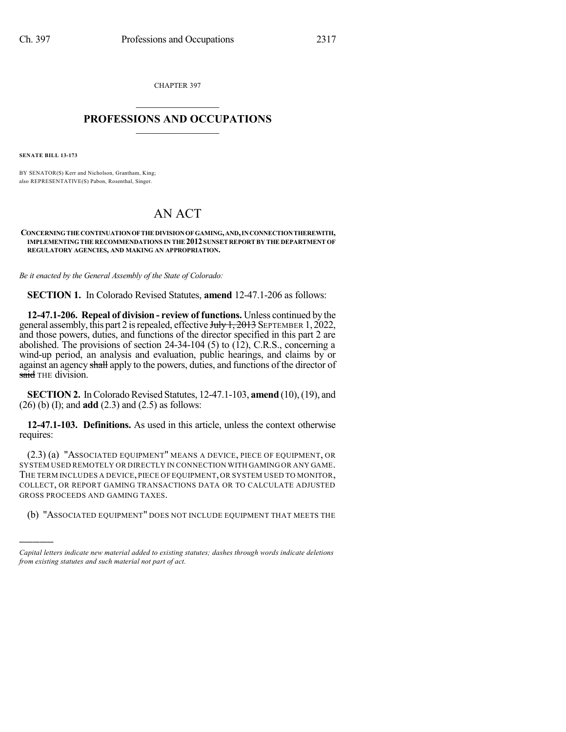CHAPTER 397  $\mathcal{L}_\text{max}$  . The set of the set of the set of the set of the set of the set of the set of the set of the set of the set of the set of the set of the set of the set of the set of the set of the set of the set of the set

## **PROFESSIONS AND OCCUPATIONS**  $\frac{1}{2}$  ,  $\frac{1}{2}$  ,  $\frac{1}{2}$  ,  $\frac{1}{2}$  ,  $\frac{1}{2}$  ,  $\frac{1}{2}$

**SENATE BILL 13-173**

)))))

BY SENATOR(S) Kerr and Nicholson, Grantham, King; also REPRESENTATIVE(S) Pabon, Rosenthal, Singer.

## AN ACT

## **CONCERNINGTHE CONTINUATIONOFTHE DIVISIONOF GAMING,AND,INCONNECTIONTHEREWITH, IMPLEMENTING THE RECOMMENDATIONS IN THE 2012 SUNSET REPORT BY THE DEPARTMENT OF REGULATORY AGENCIES, AND MAKING AN APPROPRIATION.**

*Be it enacted by the General Assembly of the State of Colorado:*

**SECTION 1.** In Colorado Revised Statutes, **amend** 12-47.1-206 as follows:

**12-47.1-206. Repeal of division - review of functions.** Unless continued by the general assembly, this part 2 is repealed, effective July 1, 2013 SEPTEMBER 1, 2022, and those powers, duties, and functions of the director specified in this part 2 are abolished. The provisions of section  $24-34-104$  (5) to (12), C.R.S., concerning a wind-up period, an analysis and evaluation, public hearings, and claims by or against an agency shall apply to the powers, duties, and functions of the director of said THE division.

**SECTION 2.** In Colorado Revised Statutes, 12-47.1-103, **amend** (10), (19), and (26) (b) (I); and **add** (2.3) and (2.5) as follows:

**12-47.1-103. Definitions.** As used in this article, unless the context otherwise requires:

(2.3) (a) "ASSOCIATED EQUIPMENT" MEANS A DEVICE, PIECE OF EQUIPMENT, OR SYSTEM USED REMOTELY OR DIRECTLY IN CONNECTION WITH GAMING OR ANY GAME. THE TERM INCLUDES A DEVICE, PIECE OF EQUIPMENT,OR SYSTEM USED TO MONITOR, COLLECT, OR REPORT GAMING TRANSACTIONS DATA OR TO CALCULATE ADJUSTED GROSS PROCEEDS AND GAMING TAXES.

(b) "ASSOCIATED EQUIPMENT" DOES NOT INCLUDE EQUIPMENT THAT MEETS THE

*Capital letters indicate new material added to existing statutes; dashes through words indicate deletions from existing statutes and such material not part of act.*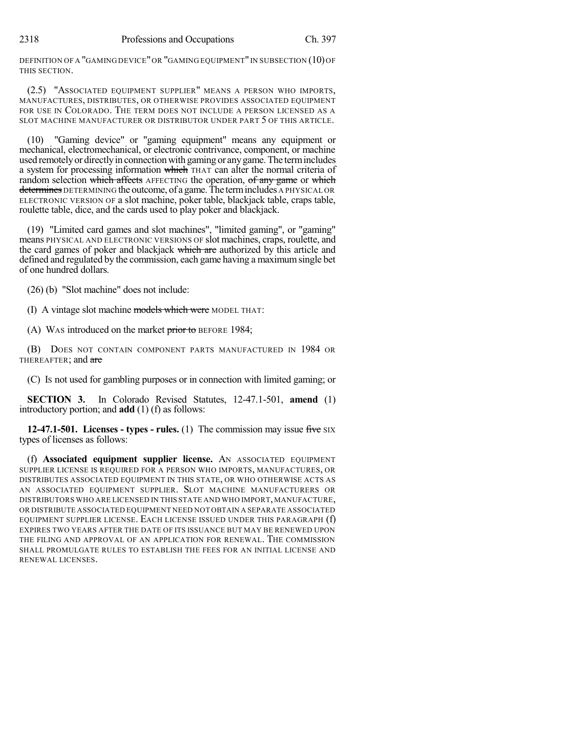DEFINITION OF A "GAMING DEVICE" OR "GAMING EQUIPMENT" IN SUBSECTION (10) OF THIS SECTION.

(2.5) "ASSOCIATED EQUIPMENT SUPPLIER" MEANS A PERSON WHO IMPORTS, MANUFACTURES, DISTRIBUTES, OR OTHERWISE PROVIDES ASSOCIATED EQUIPMENT FOR USE IN COLORADO. THE TERM DOES NOT INCLUDE A PERSON LICENSED AS A SLOT MACHINE MANUFACTURER OR DISTRIBUTOR UNDER PART 5 OF THIS ARTICLE.

(10) "Gaming device" or "gaming equipment" means any equipment or mechanical, electromechanical, or electronic contrivance, component, or machine used remotely or directly in connection with gaming or any game. The term includes a system for processing information which THAT can alter the normal criteria of random selection which affects AFFECTING the operation, of any game or which determines DETERMINING the outcome, of a game. The term includes A PHYSICAL OR ELECTRONIC VERSION OF a slot machine, poker table, blackjack table, craps table, roulette table, dice, and the cards used to play poker and blackjack.

(19) "Limited card games and slot machines", "limited gaming", or "gaming" means PHYSICAL AND ELECTRONIC VERSIONS OF slot machines, craps, roulette, and the card games of poker and blackjack which are authorized by this article and defined and regulated by the commission, each game having a maximumsingle bet of one hundred dollars.

(26) (b) "Slot machine" does not include:

(I) A vintage slot machine models which were MODEL THAT:

(A) WAS introduced on the market prior to BEFORE 1984;

(B) DOES NOT CONTAIN COMPONENT PARTS MANUFACTURED IN 1984 OR THEREAFTER; and are

(C) IS not used for gambling purposes or in connection with limited gaming; or

**SECTION 3.** In Colorado Revised Statutes, 12-47.1-501, **amend** (1) introductory portion; and **add** (1) (f) as follows:

**12-47.1-501. Licenses - types - rules.** (1) The commission may issue five SIX types of licenses as follows:

(f) **Associated equipment supplier license.** AN ASSOCIATED EQUIPMENT SUPPLIER LICENSE IS REQUIRED FOR A PERSON WHO IMPORTS, MANUFACTURES, OR DISTRIBUTES ASSOCIATED EQUIPMENT IN THIS STATE, OR WHO OTHERWISE ACTS AS AN ASSOCIATED EQUIPMENT SUPPLIER. SLOT MACHINE MANUFACTURERS OR DISTRIBUTORS WHO ARE LICENSED IN THIS STATE AND WHO IMPORT, MANUFACTURE, OR DISTRIBUTE ASSOCIATED EQUIPMENT NEED NOT OBTAIN A SEPARATE ASSOCIATED EQUIPMENT SUPPLIER LICENSE. EACH LICENSE ISSUED UNDER THIS PARAGRAPH (f) EXPIRES TWO YEARS AFTER THE DATE OF ITS ISSUANCE BUT MAY BE RENEWED UPON THE FILING AND APPROVAL OF AN APPLICATION FOR RENEWAL. THE COMMISSION SHALL PROMULGATE RULES TO ESTABLISH THE FEES FOR AN INITIAL LICENSE AND RENEWAL LICENSES.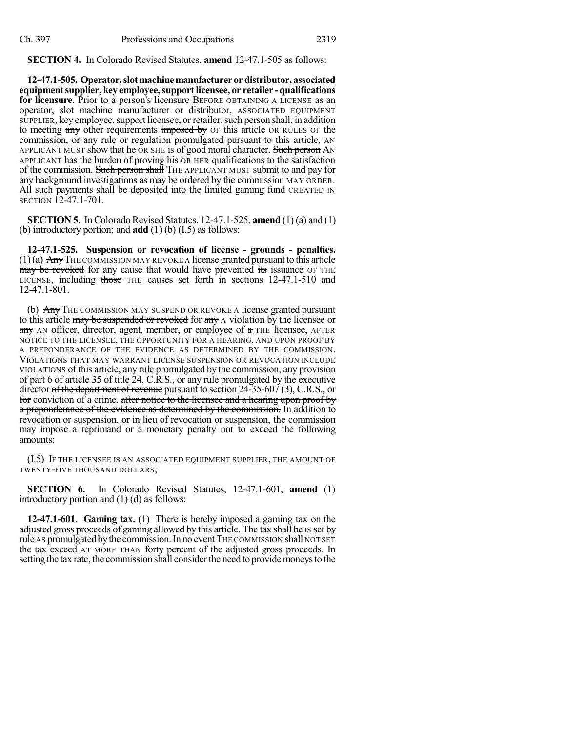**SECTION 4.** In Colorado Revised Statutes, **amend** 12-47.1-505 as follows:

**12-47.1-505. Operator,slotmachinemanufacturerordistributor, associated equipmentsupplier, key employee,supportlicensee, or retailer -qualifications for licensure.** Prior to a person's licensure BEFORE OBTAINING A LICENSE as an operator, slot machine manufacturer or distributor, ASSOCIATED EQUIPMENT SUPPLIER, key employee, support licensee, or retailer, such person shall, in addition to meeting any other requirements imposed by OF this article OR RULES OF the commission, or any rule or regulation promulgated pursuant to this article, AN APPLICANT MUST show that he OR SHE is of good moral character. Such person AN APPLICANT has the burden of proving his OR HER qualifications to the satisfaction of the commission. Such person shall THE APPLICANT MUST submit to and pay for any background investigations as may be ordered by the commission MAY ORDER. All such payments shall be deposited into the limited gaming fund CREATED IN SECTION 12-47.1-701.

**SECTION 5.** In Colorado Revised Statutes,  $12-47.1-525$ , **amend**  $(1)$  (a) and  $(1)$ (b) introductory portion; and **add** (1) (b) (I.5) as follows:

**12-47.1-525. Suspension or revocation of license - grounds - penalties.**  $(1)(a)$  Any THE COMMISSION MAY REVOKE A license granted pursuant to this article may be revoked for any cause that would have prevented its issuance OF THE LICENSE, including those THE causes set forth in sections 12-47.1-510 and 12-47.1-801.

(b) Any THE COMMISSION MAY SUSPEND OR REVOKE A license granted pursuant to this article may be suspended or revoked for any A violation by the licensee or any AN officer, director, agent, member, or employee of a THE licensee, AFTER NOTICE TO THE LICENSEE, THE OPPORTUNITY FOR A HEARING, AND UPON PROOF BY A PREPONDERANCE OF THE EVIDENCE AS DETERMINED BY THE COMMISSION. VIOLATIONS THAT MAY WARRANT LICENSE SUSPENSION OR REVOCATION INCLUDE VIOLATIONS of this article, any rule promulgated by the commission, any provision of part 6 of article 35 of title 24, C.R.S., or any rule promulgated by the executive director of the department of revenue pursuant to section 24-35-607 (3), C.R.S., or for conviction of a crime. after notice to the licensee and a hearing upon proof by a preponderance of the evidence as determined by the commission. In addition to revocation or suspension, or in lieu of revocation or suspension, the commission may impose a reprimand or a monetary penalty not to exceed the following amounts:

(I.5) IF THE LICENSEE IS AN ASSOCIATED EQUIPMENT SUPPLIER, THE AMOUNT OF TWENTY-FIVE THOUSAND DOLLARS;

**SECTION 6.** In Colorado Revised Statutes, 12-47.1-601, **amend** (1) introductory portion and (1) (d) as follows:

**12-47.1-601. Gaming tax.** (1) There is hereby imposed a gaming tax on the adjusted gross proceeds of gaming allowed by this article. The tax shall be IS set by rule AS promulgated by the commission. In no event THE COMMISSION shall NOT SET the tax exceed AT MORE THAN forty percent of the adjusted gross proceeds. In setting the tax rate, the commission shall consider the need to provide moneys to the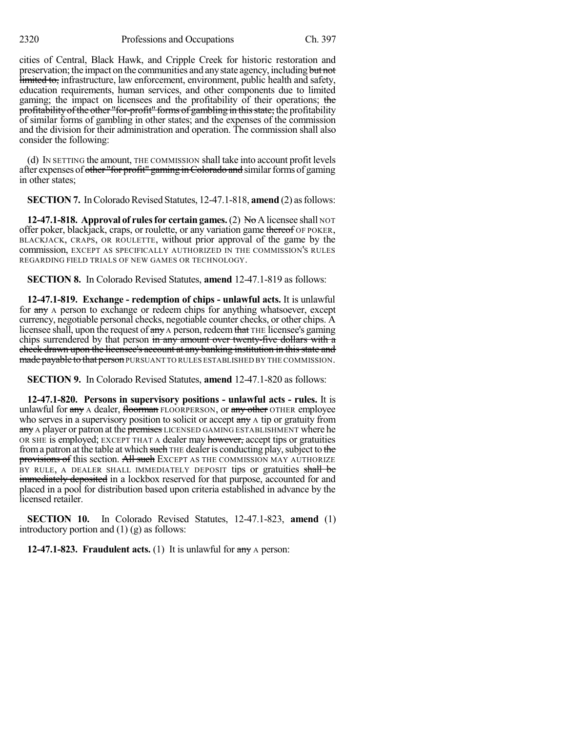cities of Central, Black Hawk, and Cripple Creek for historic restoration and preservation; the impact on the communities and any state agency, including but not limited to, infrastructure, law enforcement, environment, public health and safety, education requirements, human services, and other components due to limited gaming; the impact on licensees and the profitability of their operations; the profitability of the other "for-profit" forms of gambling in this state; the profitability of similar forms of gambling in other states; and the expenses of the commission and the division for their administration and operation. The commission shall also consider the following:

(d) IN SETTING the amount, THE COMMISSION shall take into account profit levels after expenses of other "for profit" gaming in Colorado and similar forms of gaming in other states;

**SECTION 7.** In Colorado Revised Statutes, 12-47.1-818, **amend** (2) as follows:

**12-47.1-818. Approval of rules for certain games.** (2) No A licensee shall NOT offer poker, blackjack, craps, or roulette, or any variation game thereof OF POKER, BLACKJACK, CRAPS, OR ROULETTE, without prior approval of the game by the commission, EXCEPT AS SPECIFICALLY AUTHORIZED IN THE COMMISSION'S RULES REGARDING FIELD TRIALS OF NEW GAMES OR TECHNOLOGY.

**SECTION 8.** In Colorado Revised Statutes, **amend** 12-47.1-819 as follows:

**12-47.1-819. Exchange - redemption of chips - unlawful acts.** It is unlawful for any A person to exchange or redeem chips for anything whatsoever, except currency, negotiable personal checks, negotiable counter checks, or other chips. A licensee shall, upon the request of any A person, redeem that THE licensee's gaming chips surrendered by that person in any amount over twenty-five dollars with a check drawn upon the licensee's account at any banking institution in this state and made payable to that person PURSUANT TO RULES ESTABLISHED BY THE COMMISSION.

**SECTION 9.** In Colorado Revised Statutes, **amend** 12-47.1-820 as follows:

**12-47.1-820. Persons in supervisory positions - unlawful acts - rules.** It is unlawful for any A dealer, floorman FLOORPERSON, or any other OTHER employee who serves in a supervisory position to solicit or accept any A tip or gratuity from any A player or patron at the premises LICENSED GAMING ESTABLISHMENT where he OR SHE is employed; EXCEPT THAT A dealer may however, accept tips or gratuities from a patron at the table at which such THE dealer is conducting play, subject to the provisions of this section. All such EXCEPT AS THE COMMISSION MAY AUTHORIZE BY RULE, A DEALER SHALL IMMEDIATELY DEPOSIT tips or gratuities shall be **immediately deposited** in a lockbox reserved for that purpose, accounted for and placed in a pool for distribution based upon criteria established in advance by the licensed retailer.

**SECTION 10.** In Colorado Revised Statutes, 12-47.1-823, **amend** (1) introductory portion and (1) (g) as follows:

**12-47.1-823. Fraudulent acts.** (1) It is unlawful for any A person: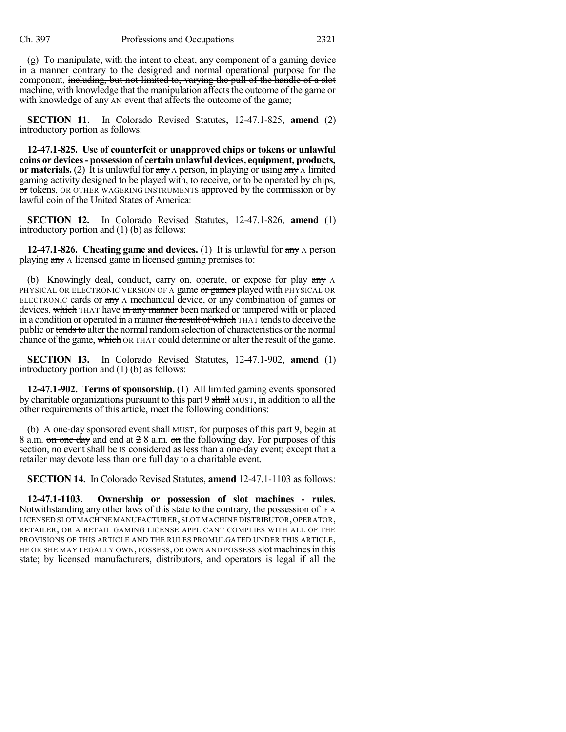(g) To manipulate, with the intent to cheat, any component of a gaming device in a manner contrary to the designed and normal operational purpose for the component, including, but not limited to, varying the pull of the handle of a slot machine, with knowledge that the manipulation affects the outcome of the game or with knowledge of  $\frac{day}{x}$  AN event that affects the outcome of the game;

**SECTION 11.** In Colorado Revised Statutes, 12-47.1-825, **amend** (2) introductory portion as follows:

**12-47.1-825. Use of counterfeit or unapproved chips or tokens or unlawful coins or devices- possession of certain unlawful devices, equipment, products, or materials.** (2) It is unlawful for any A person, in playing or using any A limited gaming activity designed to be played with, to receive, or to be operated by chips, or tokens, OR OTHER WAGERING INSTRUMENTS approved by the commission or by lawful coin of the United States of America:

**SECTION 12.** In Colorado Revised Statutes, 12-47.1-826, **amend** (1) introductory portion and (1) (b) as follows:

**12-47.1-826. Cheating game and devices.** (1) It is unlawful for any A person playing any A licensed game in licensed gaming premises to:

(b) Knowingly deal, conduct, carry on, operate, or expose for play any A PHYSICAL OR ELECTRONIC VERSION OF A game or games played with PHYSICAL OR ELECTRONIC cards or  $\frac{any}{any}$  A mechanical device, or any combination of games or devices, which THAT have in any manner been marked or tampered with or placed in a condition or operated in a manner the result of which THAT tends to deceive the public or tends to alter the normal random selection of characteristics or the normal chance of the game, which OR THAT could determine or alter the result of the game.

**SECTION 13.** In Colorado Revised Statutes, 12-47.1-902, **amend** (1) introductory portion and (1) (b) as follows:

**12-47.1-902. Terms of sponsorship.** (1) All limited gaming events sponsored by charitable organizations pursuant to this part 9 shall MUST, in addition to all the other requirements of this article, meet the following conditions:

(b) A one-day sponsored event  $\frac{1}{2}$  MUST, for purposes of this part 9, begin at 8 a.m. on one day and end at 2 8 a.m. on the following day. For purposes of this section, no event shall be IS considered as less than a one-day event; except that a retailer may devote less than one full day to a charitable event.

**SECTION 14.** In Colorado Revised Statutes, **amend** 12-47.1-1103 as follows:

**12-47.1-1103. Ownership or possession of slot machines - rules.** Notwithstanding any other laws of this state to the contrary, the possession of IF A LICENSED SLOT MACHINE MANUFACTURER,SLOT MACHINE DISTRIBUTOR,OPERATOR, RETAILER, OR A RETAIL GAMING LICENSE APPLICANT COMPLIES WITH ALL OF THE PROVISIONS OF THIS ARTICLE AND THE RULES PROMULGATED UNDER THIS ARTICLE, HE OR SHE MAY LEGALLY OWN, POSSESS, OR OWN AND POSSESS slot machines in this state; by licensed manufacturers, distributors, and operators is legal if all the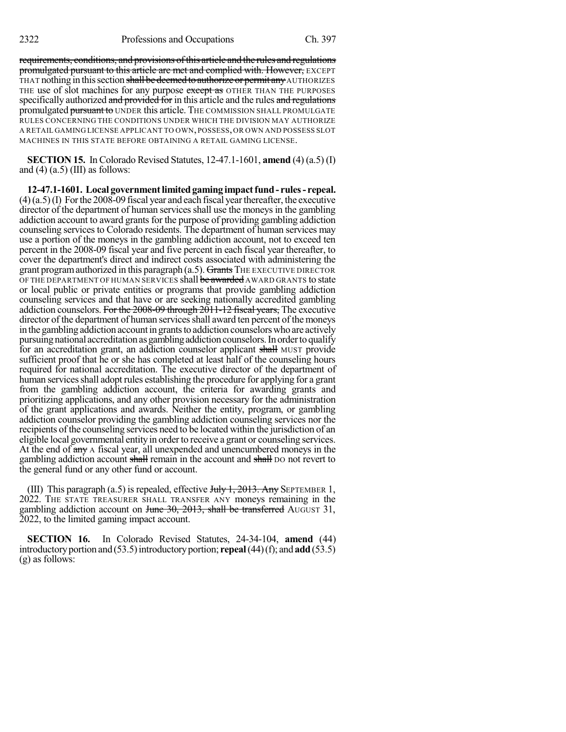requirements, conditions, and provisions of this article and the rules and regulations promulgated pursuant to this article are met and complied with. However, EXCEPT THAT nothing in this section shall be deemed to authorize or permit any AUTHORIZES THE use of slot machines for any purpose except as OTHER THAN THE PURPOSES specifically authorized and provided for in this article and the rules and regulations promulgated pursuant to UNDER this article. THE COMMISSION SHALL PROMULGATE RULES CONCERNING THE CONDITIONS UNDER WHICH THE DIVISION MAY AUTHORIZE A RETAIL GAMING LICENSE APPLICANT TO OWN, POSSESS,OR OWN AND POSSESS SLOT MACHINES IN THIS STATE BEFORE OBTAINING A RETAIL GAMING LICENSE.

**SECTION 15.** In Colorado Revised Statutes, 12-47.1-1601, **amend** (4) (a.5) (I) and  $(4)$   $(a.5)$  (III) as follows:

**12-47.1-1601. Local governmentlimitedgaming impactfund- rules- repeal.**  $(4)(a.5)(I)$  For the 2008-09 fiscal year and each fiscal year thereafter, the executive director of the department of human services shall use the moneys in the gambling addiction account to award grants for the purpose of providing gambling addiction counseling services to Colorado residents. The department of human services may use a portion of the moneys in the gambling addiction account, not to exceed ten percent in the 2008-09 fiscal year and five percent in each fiscal year thereafter, to cover the department's direct and indirect costs associated with administering the grant program authorized in this paragraph  $(a.5)$ . Grants THE EXECUTIVE DIRECTOR OF THE DEPARTMENT OF HUMAN SERVICES shall be awarded AWARD GRANTS to state or local public or private entities or programs that provide gambling addiction counseling services and that have or are seeking nationally accredited gambling addiction counselors. For the 2008-09 through 2011-12 fiscal years, The executive director of the department of human services shall award ten percent of the moneys in the gambling addiction account in grants to addiction counselors who are actively pursuing national accreditation as gambling addiction counselors. In order to qualify for an accreditation grant, an addiction counselor applicant shall MUST provide sufficient proof that he or she has completed at least half of the counseling hours required for national accreditation. The executive director of the department of human services shall adopt rules establishing the procedure for applying for a grant from the gambling addiction account, the criteria for awarding grants and prioritizing applications, and any other provision necessary for the administration of the grant applications and awards. Neither the entity, program, or gambling addiction counselor providing the gambling addiction counseling services nor the recipients of the counseling services need to be located within the jurisdiction of an eligible local governmental entity in order to receive a grant or counseling services. At the end of any A fiscal year, all unexpended and unencumbered moneys in the gambling addiction account shall remain in the account and shall bo not revert to the general fund or any other fund or account.

(III) This paragraph (a.5) is repealed, effective  $J_{\text{t}}$   $J_{\text{t}}$   $J_{\text{t}}$   $2013$ . Any SEPTEMBER 1, 2022. THE STATE TREASURER SHALL TRANSFER ANY moneys remaining in the gambling addiction account on June 30, 2013, shall be transferred AUGUST 31, 2022, to the limited gaming impact account.

**SECTION 16.** In Colorado Revised Statutes, 24-34-104, **amend** (44) introductory portion and  $(53.5)$  introductory portion; **repeal**  $(44)(f)$ ; and **add** $(53.5)$ (g) as follows: